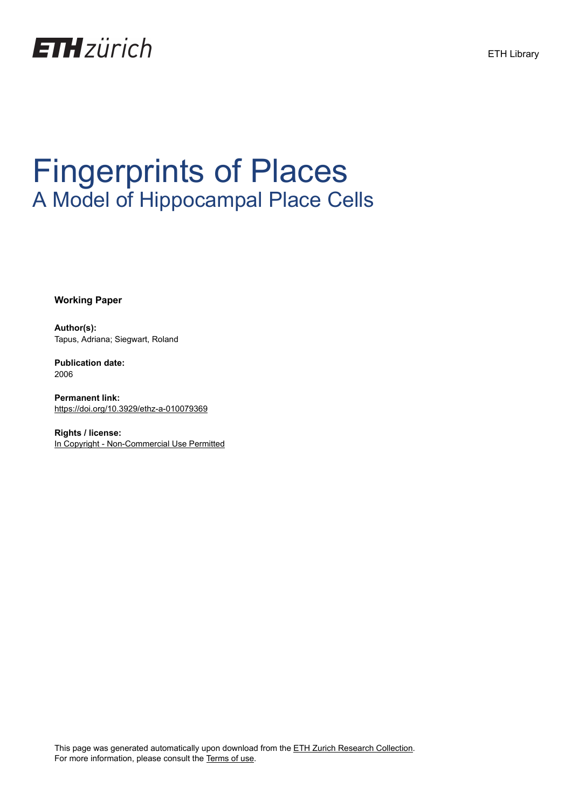

# Fingerprints of Places A Model of Hippocampal Place Cells

**Working Paper**

**Author(s):** Tapus, Adriana; Siegwart, Roland

**Publication date:** 2006

**Permanent link:** <https://doi.org/10.3929/ethz-a-010079369>

**Rights / license:** [In Copyright - Non-Commercial Use Permitted](http://rightsstatements.org/page/InC-NC/1.0/) ETH Library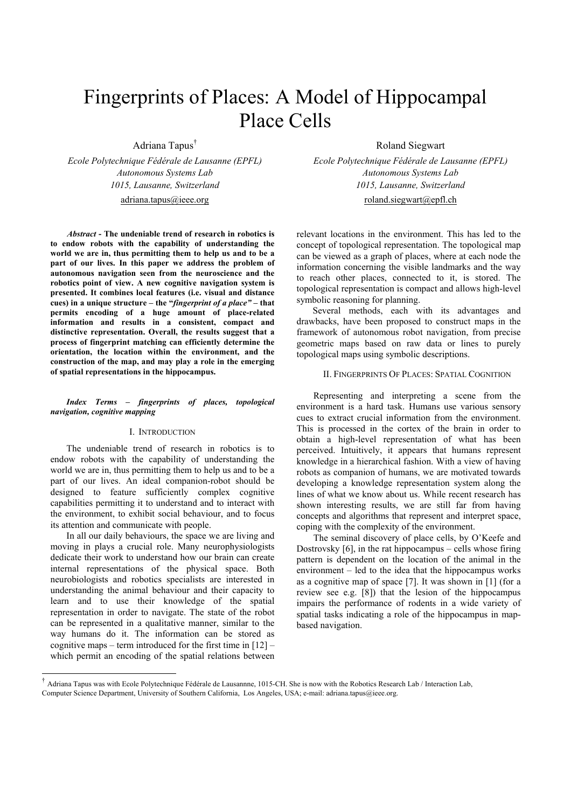## Fingerprints of Places: A Model of Hippocampal Place Cells

Adriana Tapus†

*Ecole Polytechnique Fédérale de Lausanne (EPFL) Ecole Polytechnique Fédérale de Lausanne (EPFL) Autonomous Systems Lab Autonomous Systems Lab* 

*Abstract* **- The undeniable trend of research in robotics is to endow robots with the capability of understanding the world we are in, thus permitting them to help us and to be a part of our lives. In this paper we address the problem of autonomous navigation seen from the neuroscience and the robotics point of view. A new cognitive navigation system is presented. It combines local features (i.e. visual and distance cues) in a unique structure – the "***fingerprint of a place"* **– that permits encoding of a huge amount of place-related information and results in a consistent, compact and distinctive representation. Overall, the results suggest that a process of fingerprint matching can efficiently determine the orientation, the location within the environment, and the construction of the map, and may play a role in the emerging of spatial representations in the hippocampus.** 

*Index Terms – fingerprints of places, topological navigation, cognitive mapping* 

### I. INTRODUCTION

The undeniable trend of research in robotics is to endow robots with the capability of understanding the world we are in, thus permitting them to help us and to be a part of our lives. An ideal companion-robot should be designed to feature sufficiently complex cognitive capabilities permitting it to understand and to interact with the environment, to exhibit social behaviour, and to focus its attention and communicate with people.

In all our daily behaviours, the space we are living and moving in plays a crucial role. Many neurophysiologists dedicate their work to understand how our brain can create internal representations of the physical space. Both neurobiologists and robotics specialists are interested in understanding the animal behaviour and their capacity to learn and to use their knowledge of the spatial representation in order to navigate. The state of the robot can be represented in a qualitative manner, similar to the way humans do it. The information can be stored as cognitive maps – term introduced for the first time in [12] – which permit an encoding of the spatial relations between

l

Roland Siegwart

*1015, Lausanne, Switzerland 1015, Lausanne, Switzerland*  adriana.tapus@ieee.org roland.siegwart@epfl.ch

> relevant locations in the environment. This has led to the concept of topological representation. The topological map can be viewed as a graph of places, where at each node the information concerning the visible landmarks and the way to reach other places, connected to it, is stored. The topological representation is compact and allows high-level symbolic reasoning for planning.

> Several methods, each with its advantages and drawbacks, have been proposed to construct maps in the framework of autonomous robot navigation, from precise geometric maps based on raw data or lines to purely topological maps using symbolic descriptions.

#### II. FINGERPRINTS OF PLACES: SPATIAL COGNITION

 Representing and interpreting a scene from the environment is a hard task. Humans use various sensory cues to extract crucial information from the environment. This is processed in the cortex of the brain in order to obtain a high-level representation of what has been perceived. Intuitively, it appears that humans represent knowledge in a hierarchical fashion. With a view of having robots as companion of humans, we are motivated towards developing a knowledge representation system along the lines of what we know about us. While recent research has shown interesting results, we are still far from having concepts and algorithms that represent and interpret space, coping with the complexity of the environment.

 The seminal discovery of place cells, by O'Keefe and Dostrovsky [6], in the rat hippocampus – cells whose firing pattern is dependent on the location of the animal in the environment – led to the idea that the hippocampus works as a cognitive map of space [7]. It was shown in [1] (for a review see e.g. [8]) that the lesion of the hippocampus impairs the performance of rodents in a wide variety of spatial tasks indicating a role of the hippocampus in mapbased navigation.

<sup>†</sup> Adriana Tapus was with Ecole Polytechnique Fédérale de Lausannne, 1015-CH. She is now with the Robotics Research Lab / Interaction Lab, Computer Science Department, University of Southern California, Los Angeles, USA; e-mail: adriana.tapus@ieee.org.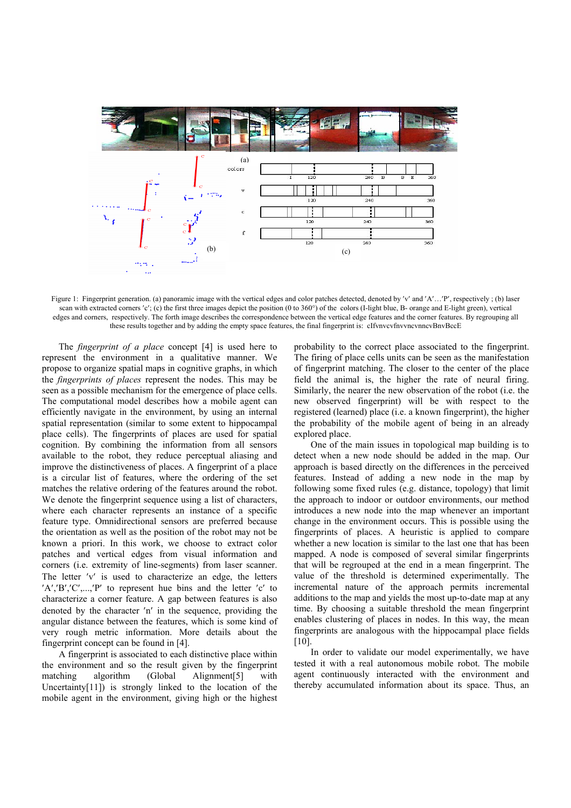

Figure 1: Fingerprint generation. (a) panoramic image with the vertical edges and color patches detected, denoted by 'v' and 'A'...'P', respectively; (b) laser scan with extracted corners 'c'; (c) the first three images depict the position (0 to 360°) of the colors (I-light blue, B- orange and E-light green), vertical edges and corners, respectively. The forth image describes the correspondence between the vertical edge features and the corner features. By regrouping all these results together and by adding the empty space features, the final fingerprint is: cIfvnvcvfnvvncvnncvBnvBccE

 The *fingerprint of a place* concept [4] is used here to represent the environment in a qualitative manner. We propose to organize spatial maps in cognitive graphs, in which the *fingerprints of places* represent the nodes. This may be seen as a possible mechanism for the emergence of place cells. The computational model describes how a mobile agent can efficiently navigate in the environment, by using an internal spatial representation (similar to some extent to hippocampal place cells). The fingerprints of places are used for spatial cognition. By combining the information from all sensors available to the robot, they reduce perceptual aliasing and improve the distinctiveness of places. A fingerprint of a place is a circular list of features, where the ordering of the set matches the relative ordering of the features around the robot. We denote the fingerprint sequence using a list of characters, where each character represents an instance of a specific feature type. Omnidirectional sensors are preferred because the orientation as well as the position of the robot may not be known a priori. In this work, we choose to extract color patches and vertical edges from visual information and corners (i.e. extremity of line-segments) from laser scanner. The letter ′v′ is used to characterize an edge, the letters ′A′,′B′,′C′,...,′P′ to represent hue bins and the letter ′c′ to characterize a corner feature. A gap between features is also denoted by the character ′n′ in the sequence, providing the angular distance between the features, which is some kind of very rough metric information. More details about the fingerprint concept can be found in [4].

 A fingerprint is associated to each distinctive place within the environment and so the result given by the fingerprint matching algorithm (Global Alignment[5] with Uncertainty[11]) is strongly linked to the location of the mobile agent in the environment, giving high or the highest probability to the correct place associated to the fingerprint. The firing of place cells units can be seen as the manifestation of fingerprint matching. The closer to the center of the place field the animal is, the higher the rate of neural firing. Similarly, the nearer the new observation of the robot (i.e. the new observed fingerprint) will be with respect to the registered (learned) place (i.e. a known fingerprint), the higher the probability of the mobile agent of being in an already explored place.

 One of the main issues in topological map building is to detect when a new node should be added in the map. Our approach is based directly on the differences in the perceived features. Instead of adding a new node in the map by following some fixed rules (e.g. distance, topology) that limit the approach to indoor or outdoor environments, our method introduces a new node into the map whenever an important change in the environment occurs. This is possible using the fingerprints of places. A heuristic is applied to compare whether a new location is similar to the last one that has been mapped. A node is composed of several similar fingerprints that will be regrouped at the end in a mean fingerprint. The value of the threshold is determined experimentally. The incremental nature of the approach permits incremental additions to the map and yields the most up-to-date map at any time. By choosing a suitable threshold the mean fingerprint enables clustering of places in nodes. In this way, the mean fingerprints are analogous with the hippocampal place fields  $[10]$ .

 In order to validate our model experimentally, we have tested it with a real autonomous mobile robot. The mobile agent continuously interacted with the environment and thereby accumulated information about its space. Thus, an